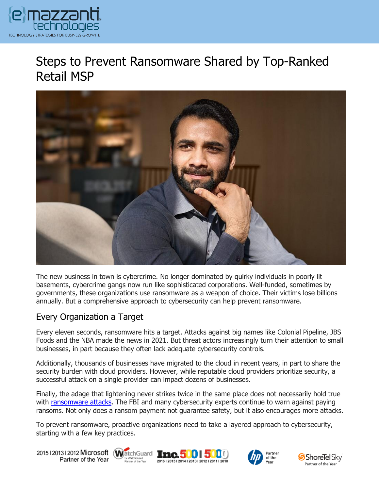

# Steps to Prevent Ransomware Shared by Top-Ranked Retail MSP



The new business in town is cybercrime. No longer dominated by quirky individuals in poorly lit basements, cybercrime gangs now run like sophisticated corporations. Well-funded, sometimes by governments, these organizations use ransomware as a weapon of choice. Their victims lose billions annually. But a comprehensive approach to cybersecurity can help prevent ransomware.

## Every Organization a Target

Every eleven seconds, ransomware hits a target. Attacks against big names like Colonial Pipeline, JBS Foods and the NBA made the news in 2021. But threat actors increasingly turn their attention to small businesses, in part because they often lack adequate cybersecurity controls.

Additionally, thousands of businesses have migrated to the cloud in recent years, in part to share the security burden with cloud providers. However, while reputable cloud providers prioritize security, a successful attack on a single provider can impact dozens of businesses.

Finally, the adage that lightening never strikes twice in the same place does not necessarily hold true with [ransomware](https://www.emazzanti.net/ransomware-insurance-coverage-2/) attacks. The FBI and many cybersecurity experts continue to warn against paying ransoms. Not only does a ransom payment not guarantee safety, but it also encourages more attacks.

To prevent ransomware, proactive organizations need to take a layered approach to cybersecurity, starting with a few key practices.

20151201312012 Microsoft WatchGuard Tnc. 500 500 Partner of the Year







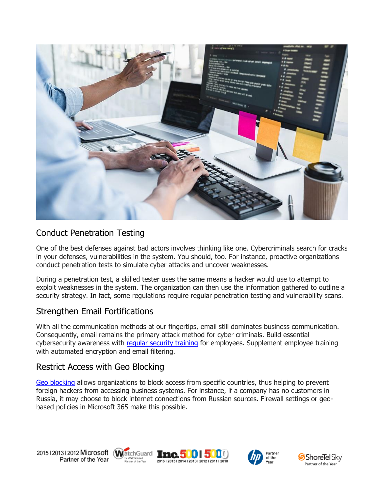

#### Conduct Penetration Testing

One of the best defenses against bad actors involves thinking like one. Cybercriminals search for cracks in your defenses, vulnerabilities in the system. You should, too. For instance, proactive organizations conduct penetration tests to simulate cyber attacks and uncover weaknesses.

During a penetration test, a skilled tester uses the same means a hacker would use to attempt to exploit weaknesses in the system. The organization can then use the information gathered to outline a security strategy. In fact, some regulations require regular penetration testing and vulnerability scans.

#### Strengthen Email Fortifications

With all the communication methods at our fingertips, email still dominates business communication. Consequently, email remains the primary attack method for cyber criminals. Build essential cybersecurity awareness with [regular security training](https://messagingarchitects.com/effective-cyber-security-training/) for employees. Supplement employee training with automated encryption and email filtering.

## Restrict Access with Geo Blocking

[Geo blocking](https://www.emazzanti.net/ransomware-attacks/) allows organizations to block access from specific countries, thus helping to prevent foreign hackers from accessing business systems. For instance, if a company has no customers in Russia, it may choose to block internet connections from Russian sources. Firewall settings or geobased policies in Microsoft 365 make this possible.